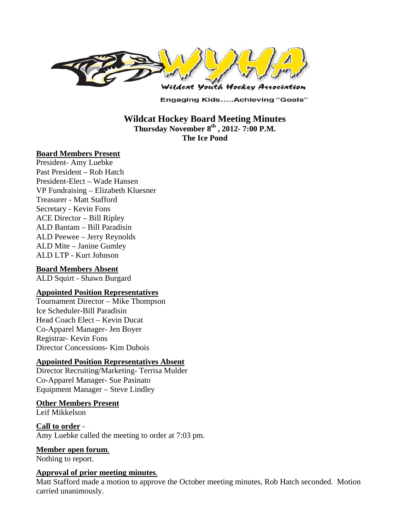

**Engaging Kids.....Achieving "Goals"** 

**Wildcat Hockey Board Meeting Minutes Thursday November 8th , 2012- 7:00 P.M. The Ice Pond** 

#### **Board Members Present**

President- Amy Luebke Past President – Rob Hatch President-Elect – Wade Hansen VP Fundraising – Elizabeth Kluesner Treasurer - Matt Stafford Secretary - Kevin Fons ACE Director – Bill Ripley ALD Bantam – Bill Paradisin ALD Peewee – Jerry Reynolds ALD Mite – Janine Gumley ALD LTP - Kurt Johnson

#### **Board Members Absent**

ALD Squirt - Shawn Burgard

#### **Appointed Position Representatives**

Tournament Director – Mike Thompson Ice Scheduler-Bill Paradisin Head Coach Elect – Kevin Ducat Co-Apparel Manager- Jen Boyer Registrar- Kevin Fons Director Concessions- Kim Dubois

#### **Appointed Position Representatives Absent**

Director Recruiting/Marketing- Terrisa Mulder Co-Apparel Manager- Sue Pasinato Equipment Manager – Steve Lindley

# **Other Members Present**

Leif Mikkelson

**Call to order** - Amy Luebke called the meeting to order at 7:03 pm.

**Member open forum**.

Nothing to report.

#### **Approval of prior meeting minutes**.

Matt Stafford made a motion to approve the October meeting minutes, Rob Hatch seconded. Motion carried unanimously.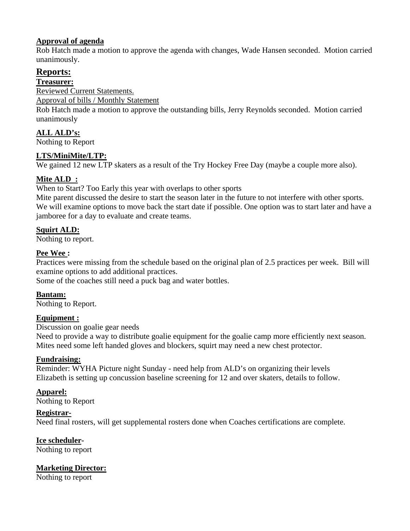# **Approval of agenda**

Rob Hatch made a motion to approve the agenda with changes, Wade Hansen seconded. Motion carried unanimously.

# **Reports:**

**Treasurer:** 

Reviewed Current Statements.

Approval of bills / Monthly Statement

Rob Hatch made a motion to approve the outstanding bills, Jerry Reynolds seconded. Motion carried unanimously

# **ALL ALD's:**

Nothing to Report

# **LTS/MiniMite/LTP:**

We gained 12 new LTP skaters as a result of the Try Hockey Free Day (maybe a couple more also).

# **Mite ALD :**

When to Start? Too Early this year with overlaps to other sports

Mite parent discussed the desire to start the season later in the future to not interfere with other sports. We will examine options to move back the start date if possible. One option was to start later and have a jamboree for a day to evaluate and create teams.

# **Squirt ALD:**

Nothing to report.

# **Pee Wee :**

Practices were missing from the schedule based on the original plan of 2.5 practices per week. Bill will examine options to add additional practices.

Some of the coaches still need a puck bag and water bottles.

# **Bantam:**

Nothing to Report.

# **Equipment :**

Discussion on goalie gear needs

Need to provide a way to distribute goalie equipment for the goalie camp more efficiently next season. Mites need some left handed gloves and blockers, squirt may need a new chest protector.

# **Fundraising:**

Reminder: WYHA Picture night Sunday - need help from ALD's on organizing their levels Elizabeth is setting up concussion baseline screening for 12 and over skaters, details to follow.

# **Apparel:**

Nothing to Report

# **Registrar-**

Need final rosters, will get supplemental rosters done when Coaches certifications are complete.

# **Ice scheduler-**

Nothing to report

# **Marketing Director:**

Nothing to report